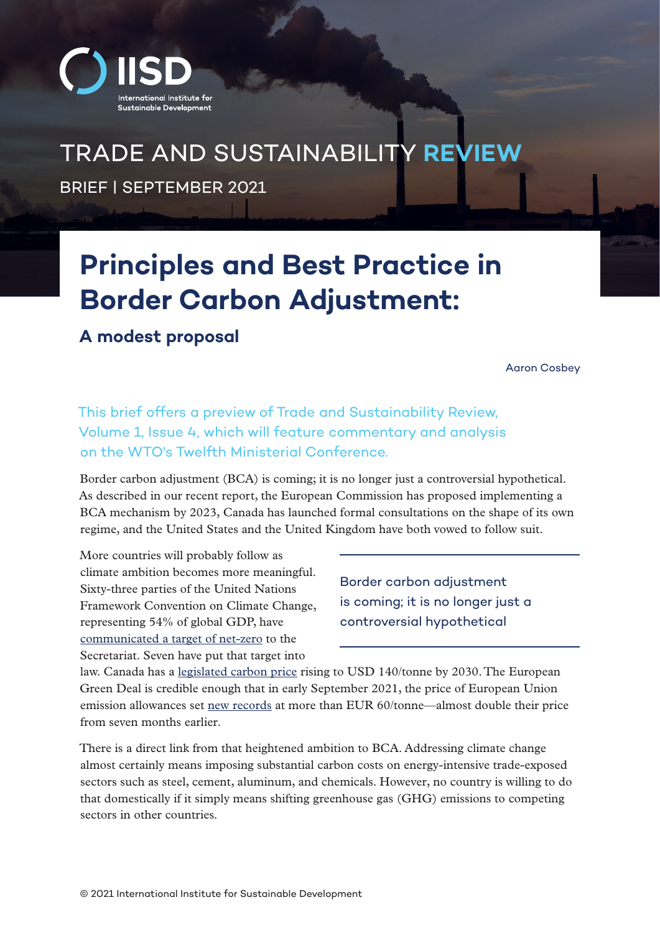

# TRADE AND SUSTAINABILITY **REVIEW**

BRIEF | SEPTEMBER 2021

# **Principles and Best Practice in Border Carbon Adjustment:**

**A modest proposal**

Aaron Cosbey

This brief offers a preview of Trade and Sustainability Review, Volume 1, Issue 4, which will feature commentary and analysis on the WTO's Twelfth Ministerial Conference.

Border carbon adjustment (BCA) is coming; it is no longer just a controversial hypothetical. As described in our [recent report,](https://www.iisd.org/publications/enabling-climate-ambition-border-carbon-adjustment-canada) the European Commission has proposed implementing a BCA mechanism by 2023, Canada has launched formal consultations on the shape of its own regime, and the United States and the United Kingdom have both vowed to follow suit.

More countries will probably follow as climate ambition becomes more meaningful. Sixty-three parties of the United Nations Framework Convention on Climate Change, representing 54% of global GDP, have [communicated a target of net-zero](https://www.climatewatchdata.org/net-zero-tracker) to the Secretariat. Seven have put that target into

Border carbon adjustment is coming; it is no longer just a controversial hypothetical

law. Canada has a [legislated carbon price](https://www.canada.ca/content/dam/eccc/documents/pdf/climate-change/climate-plan/healthy_environment_healthy_economy_plan.pdf) rising to USD 140/tonne by 2030. The European Green Deal is credible enough that in early September 2021, the price of European Union emission allowances set [new records](https://ember-climate.org/data/carbon-price-viewer/) at more than EUR 60/tonne—almost double their price from seven months earlier.

There is a direct link from that heightened ambition to BCA. Addressing climate change almost certainly means imposing substantial carbon costs on energy-intensive trade-exposed sectors such as steel, cement, aluminum, and chemicals. However, no country is willing to do that domestically if it simply means shifting greenhouse gas (GHG) emissions to competing sectors in other countries.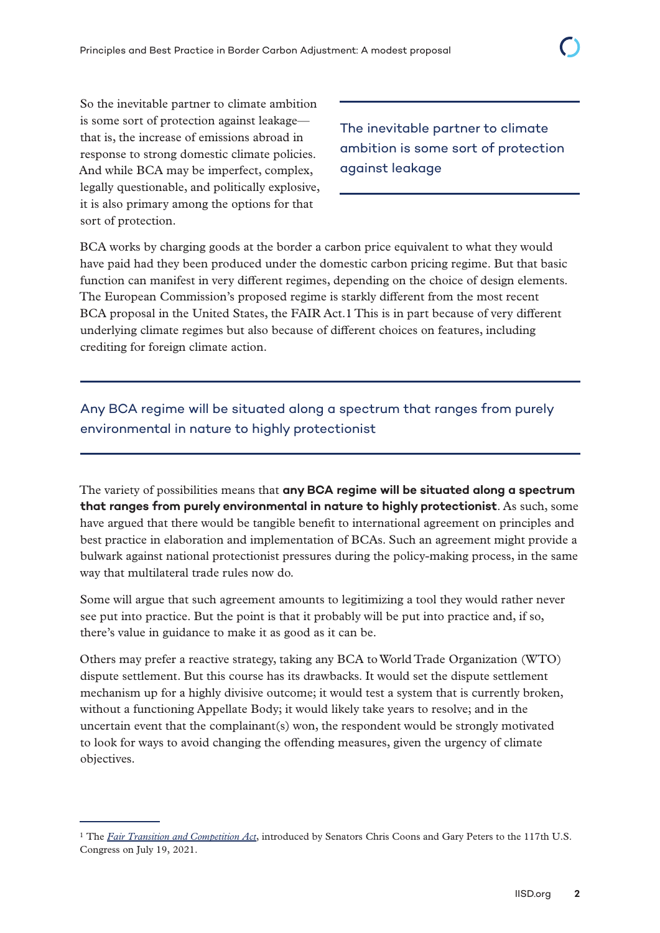So the inevitable partner to climate ambition is some sort of protection against leakage that is, the increase of emissions abroad in response to strong domestic climate policies. And while BCA may be imperfect, complex, legally questionable, and politically explosive, it is also primary among the options for that sort of protection.

The inevitable partner to climate ambition is some sort of protection against leakage

BCA works by charging goods at the border a carbon price equivalent to what they would have paid had they been produced under the domestic carbon pricing regime. But that basic function can manifest in [very different regimes,](https://ercst.org/border-carbon-adjustments-in-the-eu-issues-and-options/) depending on the choice of design elements. The European Commission's proposed regime is starkly different from the most recent BCA proposal in the United States, the FAIR Act.1 This is in part because of very different underlying climate regimes but also because of different choices on features, including crediting for foreign climate action.

### Any BCA regime will be situated along a spectrum that ranges from purely environmental in nature to highly protectionist

The variety of possibilities means that **any BCA regime will be situated along a spectrum that ranges from purely environmental in nature to highly protectionist**. As such, some have argued that there would be tangible benefit to international agreement on principles and best practice in elaboration and implementation of BCAs. Such an agreement might provide a bulwark against national protectionist pressures during the policy-making process, in the same way that multilateral trade rules now do.

Some will argue that such agreement amounts to legitimizing a tool they would rather never see put into practice. But the point is that it probably will be put into practice and, if so, there's value in guidance to make it as good as it can be.

Others may prefer a reactive strategy, taking any BCA to World Trade Organization (WTO) dispute settlement. But this course has its drawbacks. It would set the dispute settlement mechanism up for a highly divisive outcome; it would test a system that is currently broken, without a functioning Appellate Body; it would likely take years to resolve; and in the uncertain event that the complainant(s) won, the respondent would be strongly motivated to look for ways to avoid changing the offending measures, given the urgency of climate objectives.

<sup>&</sup>lt;sup>1</sup> The *[Fair Transition and Competition Act](https://www.congress.gov/bill/117th-congress/senate-bill/2378)*, introduced by Senators Chris Coons and Gary Peters to the 117th U.S. Congress on July 19, 2021.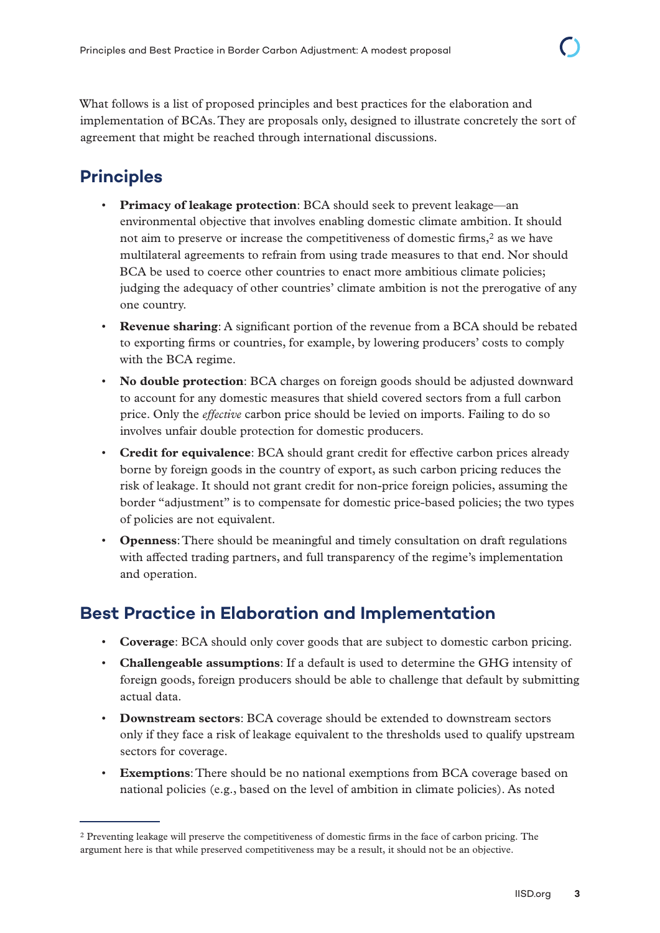What follows is a list of proposed principles and best practices for the elaboration and implementation of BCAs. They are proposals only, designed to illustrate concretely the sort of agreement that might be reached through international discussions.

## **Principles**

- **Primacy of leakage protection**: BCA should seek to prevent leakage—an environmental objective that involves enabling domestic climate ambition. It should not aim to preserve or increase the competitiveness of domestic firms,<sup>2</sup> as we have multilateral agreements to refrain from using trade measures to that end. Nor should BCA be used to coerce other countries to enact more ambitious climate policies; judging the adequacy of other countries' climate ambition is not the prerogative of any one country.
- **Revenue sharing**: A significant portion of the revenue from a BCA should be rebated to exporting firms or countries, for example, by lowering producers' costs to comply with the BCA regime.
- **No double protection**: BCA charges on foreign goods should be adjusted downward to account for any domestic measures that shield covered sectors from a full carbon price. Only the *effective* carbon price should be levied on imports. Failing to do so involves unfair double protection for domestic producers.
- **Credit for equivalence**: BCA should grant credit for effective carbon prices already borne by foreign goods in the country of export, as such carbon pricing reduces the risk of leakage. It should not grant credit for non-price foreign policies, assuming the border "adjustment" is to compensate for domestic price-based policies; the two types of policies are not equivalent.
- **Openness**: There should be meaningful and timely consultation on draft regulations with affected trading partners, and full transparency of the regime's implementation and operation.

## **Best Practice in Elaboration and Implementation**

- **Coverage**: BCA should only cover goods that are subject to domestic carbon pricing.
- **Challengeable assumptions**: If a default is used to determine the GHG intensity of foreign goods, foreign producers should be able to challenge that default by submitting actual data.
- **Downstream sectors**: BCA coverage should be extended to downstream sectors only if they face a risk of leakage equivalent to the thresholds used to qualify upstream sectors for coverage.
- **Exemptions**: There should be no national exemptions from BCA coverage based on national policies (e.g., based on the level of ambition in climate policies). As noted

<sup>2</sup> Preventing leakage will preserve the competitiveness of domestic firms in the face of carbon pricing. The argument here is that while preserved competitiveness may be a result, it should not be an objective.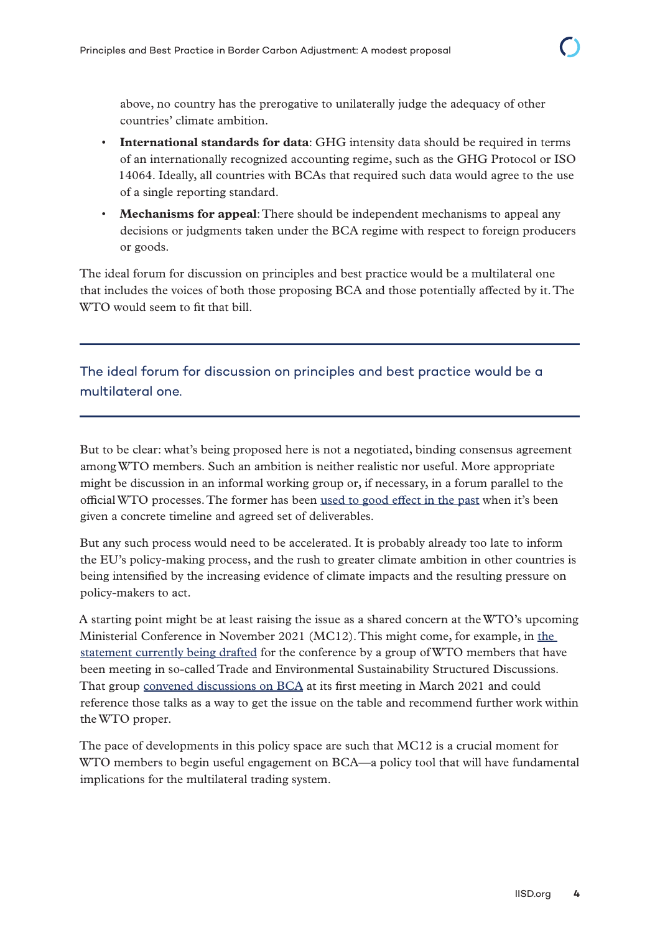above, no country has the prerogative to unilaterally judge the adequacy of other countries' climate ambition.

- **International standards for data**: GHG intensity data should be required in terms of an internationally recognized accounting regime, such as the GHG Protocol or ISO 14064. Ideally, all countries with BCAs that required such data would agree to the use of a single reporting standard.
- **Mechanisms for appeal**: There should be independent mechanisms to appeal any decisions or judgments taken under the BCA regime with respect to foreign producers or goods.

The ideal forum for discussion on principles and best practice would be a multilateral one that includes the voices of both those proposing BCA and those potentially affected by it. The WTO would seem to fit that bill.

The ideal forum for discussion on principles and best practice would be a multilateral one.

But to be clear: what's being proposed here is not a negotiated, binding consensus agreement among WTO members. Such an ambition is neither realistic nor useful. More appropriate might be discussion in an informal working group or, if necessary, in a forum parallel to the official WTO processes. The former has been [used to good effect in the past](https://www.csis.org/analysis/wto-informal-working-group-trade-and-gender-what-it-what-it-should-consider-and-what-it) when it's been given a concrete timeline and agreed set of deliverables.

But any such process would need to be accelerated. It is probably already too late to inform the EU's policy-making process, and the rush to greater climate ambition in other countries is being intensified by the increasing evidence of climate impacts and the resulting pressure on policy-makers to act.

A starting point might be at least raising the issue as a shared concern at the WTO's upcoming Ministerial Conference in November 2021 (MC12). This might come, for example, in [the](https://www.wto.org/english/news_e/news21_e/tessd_21jul21_e.htm)  [statement currently being drafted](https://www.wto.org/english/news_e/news21_e/tessd_21jul21_e.htm) for the conference by a group of WTO members that have been meeting in so-called Trade and Environmental Sustainability Structured Discussions. That group [convened discussions on BCA](http://sdg.iisd.org/commentary/policy-briefs/trade-and-environment-structured-discussions-among-wto-member-group-get-underway/) at its first meeting in March 2021 and could reference those talks as a way to get the issue on the table and recommend further work within the WTO proper.

The pace of developments in this policy space are such that MC12 is a crucial moment for WTO members to begin useful engagement on BCA—a policy tool that will have fundamental implications for the multilateral trading system.